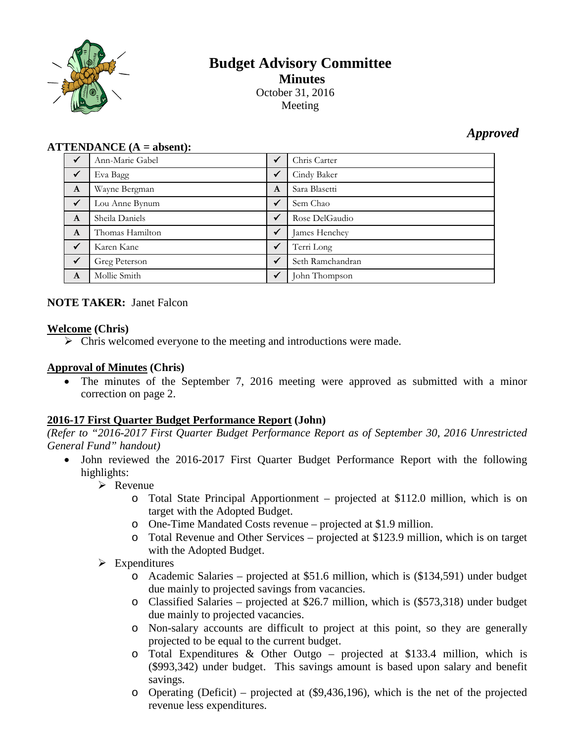

# **Budget Advisory Committee Minutes**October 31, 2016

Meeting

## *Approved*

#### **ATTENDANCE (A = absent):**

| $\checkmark$ | Ann-Marie Gabel | $\checkmark$ | Chris Carter     |
|--------------|-----------------|--------------|------------------|
| $\checkmark$ | Eva Bagg        | $\checkmark$ | Cindy Baker      |
| $\mathbf{A}$ | Wayne Bergman   | A            | Sara Blasetti    |
| $\sqrt{}$    | Lou Anne Bynum  | $\checkmark$ | Sem Chao         |
| $\mathbf{A}$ | Sheila Daniels  | $\checkmark$ | Rose DelGaudio   |
| $\mathbf{A}$ | Thomas Hamilton | $\checkmark$ | James Henchey    |
| $\checkmark$ | Karen Kane      | $\checkmark$ | Terri Long       |
| $\sqrt{}$    | Greg Peterson   | $\checkmark$ | Seth Ramchandran |
| $\mathbf{A}$ | Mollie Smith    | $\checkmark$ | John Thompson    |

#### **NOTE TAKER:** Janet Falcon

#### **Welcome (Chris)**

 $\triangleright$  Chris welcomed everyone to the meeting and introductions were made.

#### **Approval of Minutes (Chris)**

• The minutes of the September 7, 2016 meeting were approved as submitted with a minor correction on page 2.

#### **2016-17 First Quarter Budget Performance Report (John)**

*(Refer to "2016-2017 First Quarter Budget Performance Report as of September 30, 2016 Unrestricted General Fund" handout)*

- John reviewed the 2016-2017 First Quarter Budget Performance Report with the following highlights:
	- $\triangleright$  Revenue
		- o Total State Principal Apportionment projected at \$112.0 million, which is on target with the Adopted Budget.
		- o One-Time Mandated Costs revenue projected at \$1.9 million.
		- o Total Revenue and Other Services projected at \$123.9 million, which is on target with the Adopted Budget.
	- $\triangleright$  Expenditures
		- o Academic Salaries projected at \$51.6 million, which is (\$134,591) under budget due mainly to projected savings from vacancies.
		- o Classified Salaries projected at \$26.7 million, which is (\$573,318) under budget due mainly to projected vacancies.
		- o Non-salary accounts are difficult to project at this point, so they are generally projected to be equal to the current budget.
		- o Total Expenditures & Other Outgo projected at \$133.4 million, which is (\$993,342) under budget. This savings amount is based upon salary and benefit savings.
		- o Operating (Deficit) projected at (\$9,436,196), which is the net of the projected revenue less expenditures.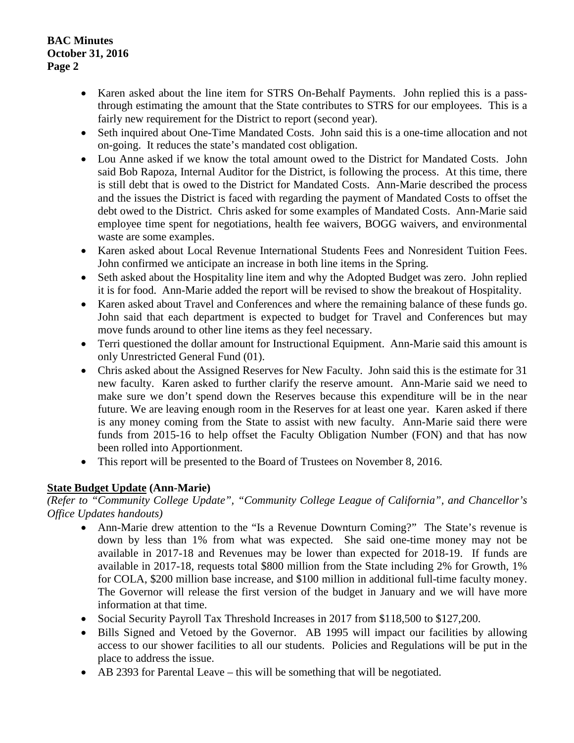**BAC Minutes October 31, 2016 Page 2**

- Karen asked about the line item for STRS On-Behalf Payments. John replied this is a passthrough estimating the amount that the State contributes to STRS for our employees. This is a fairly new requirement for the District to report (second year).
- Seth inquired about One-Time Mandated Costs. John said this is a one-time allocation and not on-going. It reduces the state's mandated cost obligation.
- Lou Anne asked if we know the total amount owed to the District for Mandated Costs. John said Bob Rapoza, Internal Auditor for the District, is following the process. At this time, there is still debt that is owed to the District for Mandated Costs. Ann-Marie described the process and the issues the District is faced with regarding the payment of Mandated Costs to offset the debt owed to the District. Chris asked for some examples of Mandated Costs. Ann-Marie said employee time spent for negotiations, health fee waivers, BOGG waivers, and environmental waste are some examples.
- Karen asked about Local Revenue International Students Fees and Nonresident Tuition Fees. John confirmed we anticipate an increase in both line items in the Spring.
- Seth asked about the Hospitality line item and why the Adopted Budget was zero. John replied it is for food. Ann-Marie added the report will be revised to show the breakout of Hospitality.
- Karen asked about Travel and Conferences and where the remaining balance of these funds go. John said that each department is expected to budget for Travel and Conferences but may move funds around to other line items as they feel necessary.
- Terri questioned the dollar amount for Instructional Equipment. Ann-Marie said this amount is only Unrestricted General Fund (01).
- Chris asked about the Assigned Reserves for New Faculty. John said this is the estimate for 31 new faculty. Karen asked to further clarify the reserve amount. Ann-Marie said we need to make sure we don't spend down the Reserves because this expenditure will be in the near future. We are leaving enough room in the Reserves for at least one year. Karen asked if there is any money coming from the State to assist with new faculty. Ann-Marie said there were funds from 2015-16 to help offset the Faculty Obligation Number (FON) and that has now been rolled into Apportionment.
- This report will be presented to the Board of Trustees on November 8, 2016.

### **State Budget Update (Ann-Marie)**

*(Refer to "Community College Update", "Community College League of California", and Chancellor's Office Updates handouts)*

- Ann-Marie drew attention to the "Is a Revenue Downturn Coming?" The State's revenue is down by less than 1% from what was expected. She said one-time money may not be available in 2017-18 and Revenues may be lower than expected for 2018-19. If funds are available in 2017-18, requests total \$800 million from the State including 2% for Growth, 1% for COLA, \$200 million base increase, and \$100 million in additional full-time faculty money. The Governor will release the first version of the budget in January and we will have more information at that time.
- Social Security Payroll Tax Threshold Increases in 2017 from \$118,500 to \$127,200.
- Bills Signed and Vetoed by the Governor. AB 1995 will impact our facilities by allowing access to our shower facilities to all our students. Policies and Regulations will be put in the place to address the issue.
- AB 2393 for Parental Leave this will be something that will be negotiated.